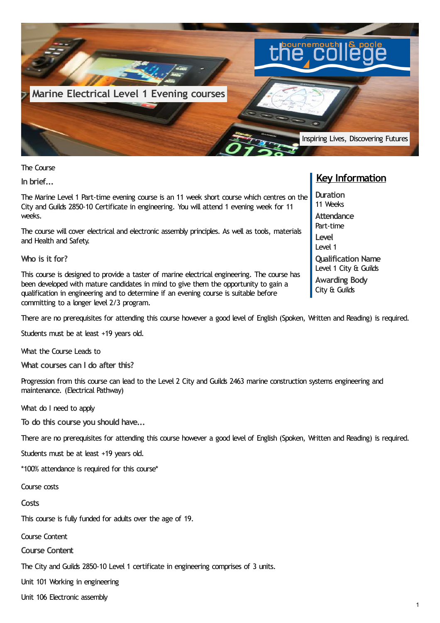

The Course

**In brief...**

The Marine Level 1 Part-time evening course is an 11 week short course which centres on the City and Guilds 2850-10 Certificate in engineering. You will attend 1 evening week for 11 weeks.

The course will cover electrical and electronic assembly principles. As well as tools, materials and Health and Safety.

**Who is it for?**

This course is designed to provide a taster of marine electrical engineering. The course has been developed with mature candidates in mind to give them the opportunity to gain a qualification in engineering and to determine if an evening course is suitable before committing to a longer level 2/3 program.

There are no prerequisites for attending this course however a good level of English (Spoken, Written and Reading) is required.

Students must be at least +19 years old.

What the Course Leads to

**What courses can I do after this?**

Progression from this course can lead to the Level 2 City and Guilds 2463 marine construction systems engineering and maintenance. (Electrical Pathway)

What do I need to apply

**To do this course you should have...**

There are no prerequisites for attending this course however a good level of English (Spoken, Written and Reading) is required.

Students must be at least +19 years old.

\*100% attendance is required for this course\*

Course costs

**Costs**

This course is fully funded for adults over the age of 19.

Course Content

**Course Content**

The City and Guilds 2850-10 Level 1 certificate in engineering comprises of 3 units.

Unit 101 Working in engineering

Unit 106 Electronic assembly

## **Key Information**

**Duration** 11 Weeks **Attendance** Part-time **Level** Level 1 **Qualification Name** Level 1 City & Guilds **Awarding Body** City & Guilds